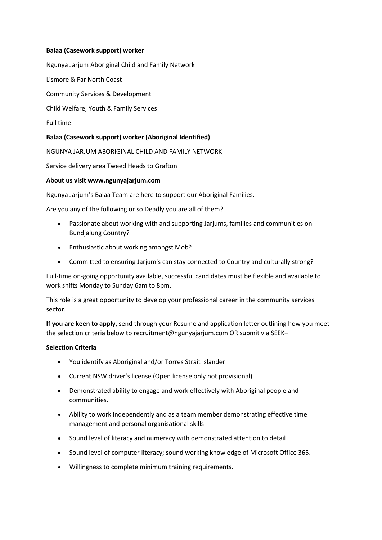# **Balaa (Casework support) worker**

Ngunya Jarjum Aboriginal Child and Family Network

Lismore & Far North Coast

Community Services & Development

Child Welfare, Youth & Family Services

Full time

# **Balaa (Casework support) worker (Aboriginal Identified)**

NGUNYA JARJUM ABORIGINAL CHILD AND FAMILY NETWORK

Service delivery area Tweed Heads to Grafton

#### **About us visit www.ngunyajarjum.com**

Ngunya Jarjum's Balaa Team are here to support our Aboriginal Families.

Are you any of the following or so Deadly you are all of them?

- Passionate about working with and supporting Jarjums, families and communities on Bundjalung Country?
- Enthusiastic about working amongst Mob?
- Committed to ensuring Jarjum's can stay connected to Country and culturally strong?

Full-time on-going opportunity available, successful candidates must be flexible and available to work shifts Monday to Sunday 6am to 8pm.

This role is a great opportunity to develop your professional career in the community services sector.

**If you are keen to apply,** send through your Resume and application letter outlining how you meet the selection criteria below to recruitment@ngunyajarjum.com OR submit via SEEK–

#### **Selection Criteria**

- You identify as Aboriginal and/or Torres Strait Islander
- Current NSW driver's license (Open license only not provisional)
- Demonstrated ability to engage and work effectively with Aboriginal people and communities.
- Ability to work independently and as a team member demonstrating effective time management and personal organisational skills
- Sound level of literacy and numeracy with demonstrated attention to detail
- Sound level of computer literacy; sound working knowledge of Microsoft Office 365.
- Willingness to complete minimum training requirements.